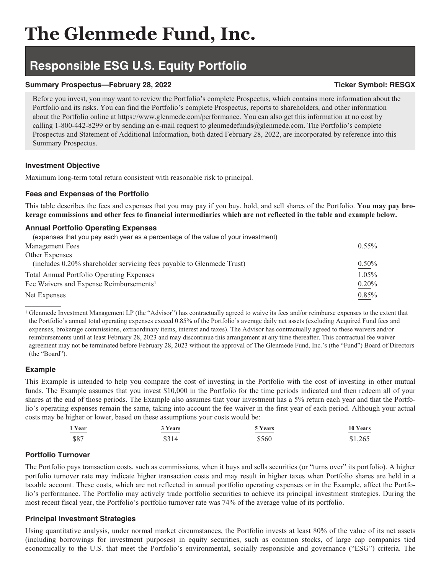# **Responsible ESG U.S. Equity Portfolio**

# **Summary Prospectus—February 28, 2022** Ticker Symbol: RESGX

Before you invest, you may want to review the Portfolio's complete Prospectus, which contains more information about the Portfolio and its risks. You can find the Portfolio's complete Prospectus, reports to shareholders, and other information about the Portfolio online at https://www.glenmede.com/performance. You can also get this information at no cost by calling 1-800-442-8299 or by sending an e-mail request to glenmedefunds@glenmede.com. The Portfolio's complete Prospectus and Statement of Additional Information, both dated February 28, 2022, are incorporated by reference into this Summary Prospectus.

# **Investment Objective**

Maximum long-term total return consistent with reasonable risk to principal.

# **Fees and Expenses of the Portfolio**

This table describes the fees and expenses that you may pay if you buy, hold, and sell shares of the Portfolio. **You may pay brokerage commissions and other fees to financial intermediaries which are not reflected in the table and example below.**

# **Annual Portfolio Operating Expenses**

| (expenses that you pay each year as a percentage of the value of your investment) |          |
|-----------------------------------------------------------------------------------|----------|
| Management Fees                                                                   | $0.55\%$ |
| Other Expenses                                                                    |          |
| (includes 0.20% shareholder servicing fees payable to Glenmede Trust)             | 0.50%    |
| <b>Total Annual Portfolio Operating Expenses</b>                                  | 1.05%    |
| Fee Waivers and Expense Reimbursements <sup>1</sup>                               | 0.20%    |
| Net Expenses                                                                      | 0.85%    |

<sup>1</sup> Glenmede Investment Management LP (the "Advisor") has contractually agreed to waive its fees and/or reimburse expenses to the extent that the Portfolio's annual total operating expenses exceed 0.85% of the Portfolio's average daily net assets (excluding Acquired Fund fees and expenses, brokerage commissions, extraordinary items, interest and taxes). The Advisor has contractually agreed to these waivers and/or reimbursements until at least February 28, 2023 and may discontinue this arrangement at any time thereafter. This contractual fee waiver agreement may not be terminated before February 28, 2023 without the approval of The Glenmede Fund, Inc.'s (the "Fund") Board of Directors (the "Board").

# **Example**

This Example is intended to help you compare the cost of investing in the Portfolio with the cost of investing in other mutual funds. The Example assumes that you invest \$10,000 in the Portfolio for the time periods indicated and then redeem all of your shares at the end of those periods. The Example also assumes that your investment has a 5% return each year and that the Portfolio's operating expenses remain the same, taking into account the fee waiver in the first year of each period. Although your actual costs may be higher or lower, based on these assumptions your costs would be:

| 1 Year  | 3 Years | 5 Years | 10 Years |
|---------|---------|---------|----------|
| _______ |         |         | ________ |
| \$87    | \$314   | \$560   | \$1,265  |

# **Portfolio Turnover**

The Portfolio pays transaction costs, such as commissions, when it buys and sells securities (or "turns over" its portfolio). A higher portfolio turnover rate may indicate higher transaction costs and may result in higher taxes when Portfolio shares are held in a taxable account. These costs, which are not reflected in annual portfolio operating expenses or in the Example, affect the Portfolio's performance. The Portfolio may actively trade portfolio securities to achieve its principal investment strategies. During the most recent fiscal year, the Portfolio's portfolio turnover rate was 74% of the average value of its portfolio.

# **Principal Investment Strategies**

Using quantitative analysis, under normal market circumstances, the Portfolio invests at least 80% of the value of its net assets (including borrowings for investment purposes) in equity securities, such as common stocks, of large cap companies tied economically to the U.S. that meet the Portfolio's environmental, socially responsible and governance ("ESG") criteria. The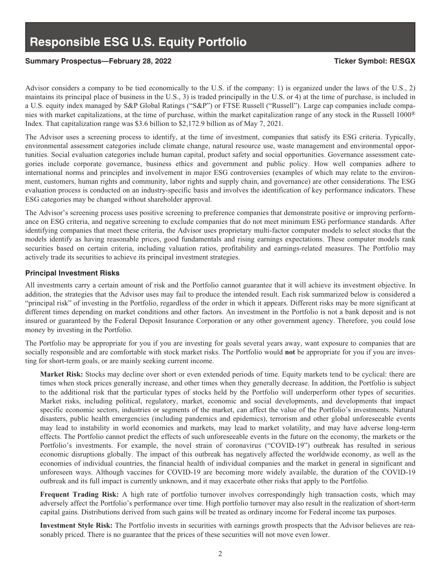## Summary Prospectus—February 28, 2022 **Ticker Symbol: RESGX**

Advisor considers a company to be tied economically to the U.S. if the company: 1) is organized under the laws of the U.S., 2) maintains its principal place of business in the U.S., 3) is traded principally in the U.S. or 4) at the time of purchase, is included in a U.S. equity index managed by S&P Global Ratings ("S&P") or FTSE Russell ("Russell"). Large cap companies include companies with market capitalizations, at the time of purchase, within the market capitalization range of any stock in the Russell 1000® Index. That capitalization range was \$3.6 billion to \$2,172.9 billion as of May 7, 2021.

The Advisor uses a screening process to identify, at the time of investment, companies that satisfy its ESG criteria. Typically, environmental assessment categories include climate change, natural resource use, waste management and environmental opportunities. Social evaluation categories include human capital, product safety and social opportunities. Governance assessment categories include corporate governance, business ethics and government and public policy. How well companies adhere to international norms and principles and involvement in major ESG controversies (examples of which may relate to the environment, customers, human rights and community, labor rights and supply chain, and governance) are other considerations. The ESG evaluation process is conducted on an industry-specific basis and involves the identification of key performance indicators. These ESG categories may be changed without shareholder approval.

The Advisor's screening process uses positive screening to preference companies that demonstrate positive or improving performance on ESG criteria, and negative screening to exclude companies that do not meet minimum ESG performance standards. After identifying companies that meet these criteria, the Advisor uses proprietary multi-factor computer models to select stocks that the models identify as having reasonable prices, good fundamentals and rising earnings expectations. These computer models rank securities based on certain criteria, including valuation ratios, profitability and earnings-related measures. The Portfolio may actively trade its securities to achieve its principal investment strategies.

### **Principal Investment Risks**

All investments carry a certain amount of risk and the Portfolio cannot guarantee that it will achieve its investment objective. In addition, the strategies that the Advisor uses may fail to produce the intended result. Each risk summarized below is considered a "principal risk" of investing in the Portfolio, regardless of the order in which it appears. Different risks may be more significant at different times depending on market conditions and other factors. An investment in the Portfolio is not a bank deposit and is not insured or guaranteed by the Federal Deposit Insurance Corporation or any other government agency. Therefore, you could lose money by investing in the Portfolio.

The Portfolio may be appropriate for you if you are investing for goals several years away, want exposure to companies that are socially responsible and are comfortable with stock market risks. The Portfolio would **not** be appropriate for you if you are investing for short-term goals, or are mainly seeking current income.

**Market Risk:** Stocks may decline over short or even extended periods of time. Equity markets tend to be cyclical: there are times when stock prices generally increase, and other times when they generally decrease. In addition, the Portfolio is subject to the additional risk that the particular types of stocks held by the Portfolio will underperform other types of securities. Market risks, including political, regulatory, market, economic and social developments, and developments that impact specific economic sectors, industries or segments of the market, can affect the value of the Portfolio's investments. Natural disasters, public health emergencies (including pandemics and epidemics), terrorism and other global unforeseeable events may lead to instability in world economies and markets, may lead to market volatility, and may have adverse long-term effects. The Portfolio cannot predict the effects of such unforeseeable events in the future on the economy, the markets or the Portfolio's investments. For example, the novel strain of coronavirus ("COVID-19") outbreak has resulted in serious economic disruptions globally. The impact of this outbreak has negatively affected the worldwide economy, as well as the economies of individual countries, the financial health of individual companies and the market in general in significant and unforeseen ways. Although vaccines for COVID-19 are becoming more widely available, the duration of the COVID-19 outbreak and its full impact is currently unknown, and it may exacerbate other risks that apply to the Portfolio.

**Frequent Trading Risk:** A high rate of portfolio turnover involves correspondingly high transaction costs, which may adversely affect the Portfolio's performance over time. High portfolio turnover may also result in the realization of short-term capital gains. Distributions derived from such gains will be treated as ordinary income for Federal income tax purposes.

**Investment Style Risk:** The Portfolio invests in securities with earnings growth prospects that the Advisor believes are reasonably priced. There is no guarantee that the prices of these securities will not move even lower.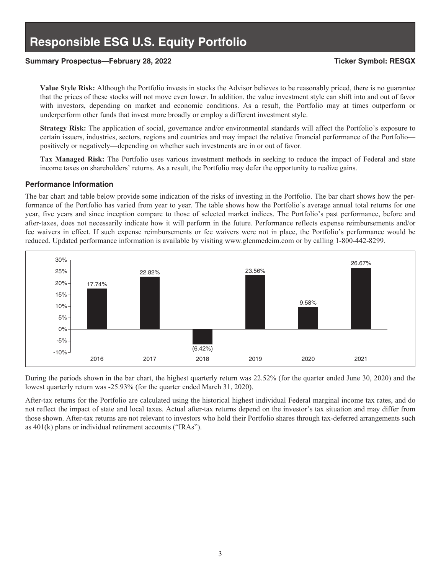### **Summary Prospectus—February 28, 2022 Ticker Symbol: RESGX**

**Value Style Risk:** Although the Portfolio invests in stocks the Advisor believes to be reasonably priced, there is no guarantee that the prices of these stocks will not move even lower. In addition, the value investment style can shift into and out of favor with investors, depending on market and economic conditions. As a result, the Portfolio may at times outperform or underperform other funds that invest more broadly or employ a different investment style.

**Strategy Risk:** The application of social, governance and/or environmental standards will affect the Portfolio's exposure to certain issuers, industries, sectors, regions and countries and may impact the relative financial performance of the Portfolio positively or negatively—depending on whether such investments are in or out of favor.

**Tax Managed Risk:** The Portfolio uses various investment methods in seeking to reduce the impact of Federal and state income taxes on shareholders' returns. As a result, the Portfolio may defer the opportunity to realize gains.

#### **Performance Information**

The bar chart and table below provide some indication of the risks of investing in the Portfolio. The bar chart shows how the performance of the Portfolio has varied from year to year. The table shows how the Portfolio's average annual total returns for one year, five years and since inception compare to those of selected market indices. The Portfolio's past performance, before and after-taxes, does not necessarily indicate how it will perform in the future. Performance reflects expense reimbursements and/or fee waivers in effect. If such expense reimbursements or fee waivers were not in place, the Portfolio's performance would be reduced. Updated performance information is available by visiting www.glenmedeim.com or by calling 1-800-442-8299.



During the periods shown in the bar chart, the highest quarterly return was 22.52% (for the quarter ended June 30, 2020) and the lowest quarterly return was -25.93% (for the quarter ended March 31, 2020).

After-tax returns for the Portfolio are calculated using the historical highest individual Federal marginal income tax rates, and do not reflect the impact of state and local taxes. Actual after-tax returns depend on the investor's tax situation and may differ from those shown. After-tax returns are not relevant to investors who hold their Portfolio shares through tax-deferred arrangements such as 401(k) plans or individual retirement accounts ("IRAs").